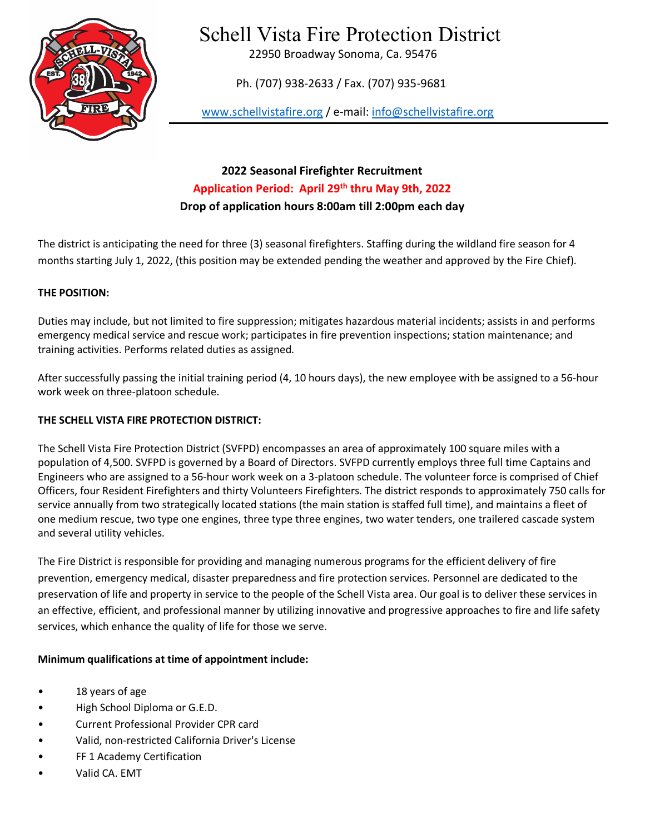

# Schell Vista Fire Protection District

22950 Broadway Sonoma, Ca. 95476

Ph. (707) 938-2633 / Fax. (707) 935-9681

[www.schellvistafire.org](http://www.schellvistafire.org/) / e-mail: [info@schellvistafire.org](mailto:info@schellvistafire.org)

**2022 Seasonal Firefighter Recruitment Application Period: April 29th thru May 9th, 2022 Drop of application hours 8:00am till 2:00pm each day**

The district is anticipating the need for three (3) seasonal firefighters. Staffing during the wildland fire season for 4 months starting July 1, 2022, (this position may be extended pending the weather and approved by the Fire Chief).

### **THE POSITION:**

Duties may include, but not limited to fire suppression; mitigates hazardous material incidents; assists in and performs emergency medical service and rescue work; participates in fire prevention inspections; station maintenance; and training activities. Performs related duties as assigned.

After successfully passing the initial training period (4, 10 hours days), the new employee with be assigned to a 56-hour work week on three-platoon schedule.

## **THE SCHELL VISTA FIRE PROTECTION DISTRICT:**

The Schell Vista Fire Protection District (SVFPD) encompasses an area of approximately 100 square miles with a population of 4,500. SVFPD is governed by a Board of Directors. SVFPD currently employs three full time Captains and Engineers who are assigned to a 56-hour work week on a 3-platoon schedule. The volunteer force is comprised of Chief Officers, four Resident Firefighters and thirty Volunteers Firefighters. The district responds to approximately 750 calls for service annually from two strategically located stations (the main station is staffed full time), and maintains a fleet of one medium rescue, two type one engines, three type three engines, two water tenders, one trailered cascade system and several utility vehicles.

The Fire District is responsible for providing and managing numerous programs for the efficient delivery of fire prevention, emergency medical, disaster preparedness and fire protection services. Personnel are dedicated to the preservation of life and property in service to the people of the Schell Vista area. Our goal is to deliver these services in an effective, efficient, and professional manner by utilizing innovative and progressive approaches to fire and life safety services, which enhance the quality of life for those we serve.

# **Minimum qualifications at time of appointment include:**

- 18 years of age
- High School Diploma or G.E.D.
- Current Professional Provider CPR card
- Valid, non-restricted California Driver's License
- FF 1 Academy Certification
- Valid CA. EMT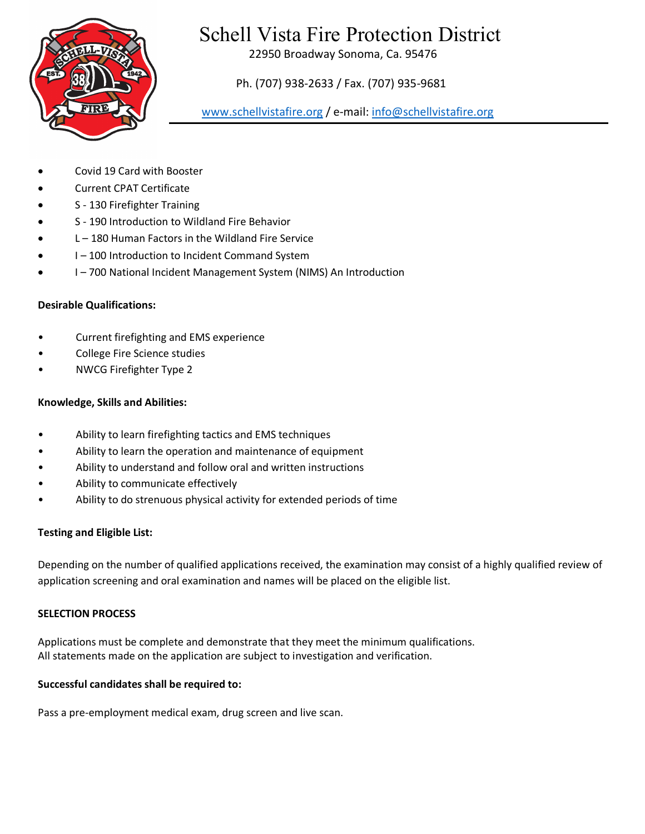

# Schell Vista Fire Protection District

22950 Broadway Sonoma, Ca. 95476

Ph. (707) 938-2633 / Fax. (707) 935-9681

[www.schellvistafire.org](http://www.schellvistafire.org/) / e-mail: [info@schellvistafire.org](mailto:info@schellvistafire.org)

- Covid 19 Card with Booster
- Current CPAT Certificate
- S 130 Firefighter Training
- S 190 Introduction to Wildland Fire Behavior
- L 180 Human Factors in the Wildland Fire Service
- I 100 Introduction to Incident Command System
- I 700 National Incident Management System (NIMS) An Introduction

# **Desirable Qualifications:**

- Current firefighting and EMS experience
- College Fire Science studies
- NWCG Firefighter Type 2

### **Knowledge, Skills and Abilities:**

- Ability to learn firefighting tactics and EMS techniques
- Ability to learn the operation and maintenance of equipment
- Ability to understand and follow oral and written instructions
- Ability to communicate effectively
- Ability to do strenuous physical activity for extended periods of time

#### **Testing and Eligible List:**

Depending on the number of qualified applications received, the examination may consist of a highly qualified review of application screening and oral examination and names will be placed on the eligible list.

#### **SELECTION PROCESS**

Applications must be complete and demonstrate that they meet the minimum qualifications. All statements made on the application are subject to investigation and verification.

#### **Successful candidates shall be required to:**

Pass a pre-employment medical exam, drug screen and live scan.